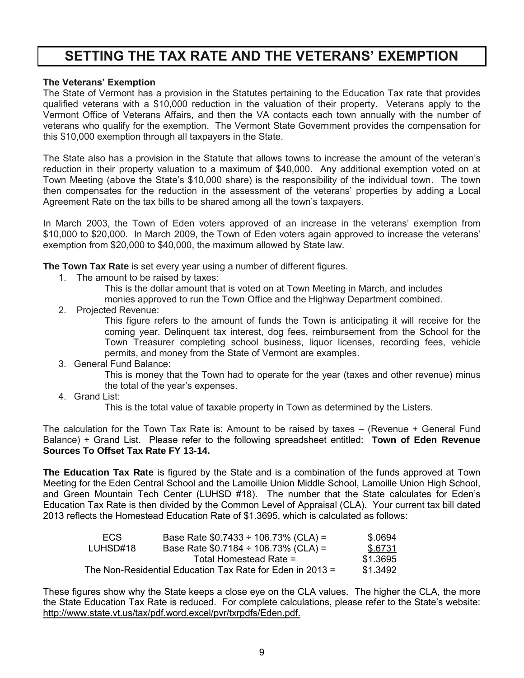# **SETTING THE TAX RATE AND THE VETERANS' EXEMPTION**

### **The Veterans' Exemption**

The State of Vermont has a provision in the Statutes pertaining to the Education Tax rate that provides qualified veterans with a \$10,000 reduction in the valuation of their property. Veterans apply to the Vermont Office of Veterans Affairs, and then the VA contacts each town annually with the number of veterans who qualify for the exemption. The Vermont State Government provides the compensation for this \$10,000 exemption through all taxpayers in the State.

The State also has a provision in the Statute that allows towns to increase the amount of the veteran's reduction in their property valuation to a maximum of \$40,000. Any additional exemption voted on at Town Meeting (above the State's \$10,000 share) is the responsibility of the individual town. The town then compensates for the reduction in the assessment of the veterans' properties by adding a Local Agreement Rate on the tax bills to be shared among all the town's taxpayers.

In March 2003, the Town of Eden voters approved of an increase in the veterans' exemption from \$10,000 to \$20,000. In March 2009, the Town of Eden voters again approved to increase the veterans' exemption from \$20,000 to \$40,000, the maximum allowed by State law.

**The Town Tax Rate** is set every year using a number of different figures.

- 1. The amount to be raised by taxes:
	- This is the dollar amount that is voted on at Town Meeting in March, and includes

monies approved to run the Town Office and the Highway Department combined.

2. Projected Revenue:

This figure refers to the amount of funds the Town is anticipating it will receive for the coming year. Delinquent tax interest, dog fees, reimbursement from the School for the Town Treasurer completing school business, liquor licenses, recording fees, vehicle permits, and money from the State of Vermont are examples.

3. General Fund Balance:

This is money that the Town had to operate for the year (taxes and other revenue) minus the total of the year's expenses.

4. Grand List:

This is the total value of taxable property in Town as determined by the Listers.

The calculation for the Town Tax Rate is: Amount to be raised by taxes – (Revenue + General Fund Balance) ÷ Grand List. Please refer to the following spreadsheet entitled: **Town of Eden Revenue Sources To Offset Tax Rate FY 13-14.**

**The Education Tax Rate** is figured by the State and is a combination of the funds approved at Town Meeting for the Eden Central School and the Lamoille Union Middle School, Lamoille Union High School, and Green Mountain Tech Center (LUHSD #18). The number that the State calculates for Eden's Education Tax Rate is then divided by the Common Level of Appraisal (CLA). Your current tax bill dated 2013 reflects the Homestead Education Rate of \$1.3695, which is calculated as follows:

| ECS.                                                      | Base Rate $$0.7433 \div 106.73\%$ (CLA) = | \$.0694  |
|-----------------------------------------------------------|-------------------------------------------|----------|
| LUHSD#18                                                  | Base Rate $$0.7184 \div 106.73\%$ (CLA) = | \$.6731  |
|                                                           | Total Homestead Rate =                    | \$1.3695 |
| The Non-Residential Education Tax Rate for Eden in 2013 = | \$1.3492                                  |          |

These figures show why the State keeps a close eye on the CLA values. The higher the CLA, the more the State Education Tax Rate is reduced. For complete calculations, please refer to the State's website: http://www.state.vt.us/tax/pdf.word.excel/pvr/txrpdfs/Eden.pdf.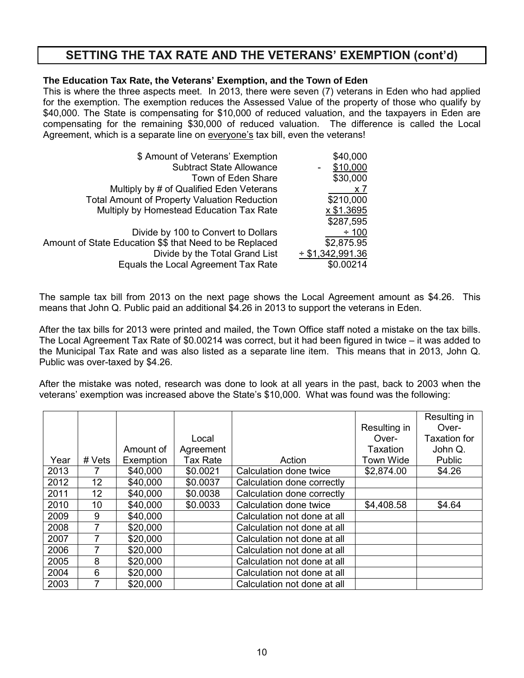# **SETTING THE TAX RATE AND THE VETERANS' EXEMPTION (cont'd)**

### **The Education Tax Rate, the Veterans' Exemption, and the Town of Eden**

This is where the three aspects meet. In 2013, there were seven (7) veterans in Eden who had applied for the exemption. The exemption reduces the Assessed Value of the property of those who qualify by \$40,000. The State is compensating for \$10,000 of reduced valuation, and the taxpayers in Eden are compensating for the remaining \$30,000 of reduced valuation. The difference is called the Local Agreement, which is a separate line on everyone's tax bill, even the veterans!

| \$ Amount of Veterans' Exemption                        | \$40,000              |
|---------------------------------------------------------|-----------------------|
| <b>Subtract State Allowance</b>                         | \$10,000              |
| Town of Eden Share                                      | \$30,000              |
| Multiply by # of Qualified Eden Veterans                | x7                    |
| <b>Total Amount of Property Valuation Reduction</b>     | \$210,000             |
| Multiply by Homestead Education Tax Rate                | x \$1.3695            |
|                                                         | \$287,595             |
| Divide by 100 to Convert to Dollars                     | $\div$ 100            |
| Amount of State Education \$\$ that Need to be Replaced | \$2,875.95            |
| Divide by the Total Grand List                          | $\div$ \$1,342,991.36 |
| Equals the Local Agreement Tax Rate                     | \$0.00214             |

The sample tax bill from 2013 on the next page shows the Local Agreement amount as \$4.26. This means that John Q. Public paid an additional \$4.26 in 2013 to support the veterans in Eden.

After the tax bills for 2013 were printed and mailed, the Town Office staff noted a mistake on the tax bills. The Local Agreement Tax Rate of \$0.00214 was correct, but it had been figured in twice – it was added to the Municipal Tax Rate and was also listed as a separate line item. This means that in 2013, John Q. Public was over-taxed by \$4.26.

After the mistake was noted, research was done to look at all years in the past, back to 2003 when the veterans' exemption was increased above the State's \$10,000. What was found was the following:

|      |                 |           |                 |                             |              | Resulting in        |
|------|-----------------|-----------|-----------------|-----------------------------|--------------|---------------------|
|      |                 |           |                 |                             | Resulting in | Over-               |
|      |                 |           | Local           |                             | Over-        | <b>Taxation for</b> |
|      |                 | Amount of | Agreement       |                             | Taxation     | John Q.             |
| Year | # Vets          | Exemption | <b>Tax Rate</b> | Action                      | Town Wide    | Public              |
| 2013 |                 | \$40,000  | \$0.0021        | Calculation done twice      | \$2,874.00   | \$4.26              |
| 2012 | 12 <sup>2</sup> | \$40,000  | \$0.0037        | Calculation done correctly  |              |                     |
| 2011 | 12              | \$40,000  | \$0.0038        | Calculation done correctly  |              |                     |
| 2010 | 10              | \$40,000  | \$0.0033        | Calculation done twice      | \$4,408.58   | \$4.64              |
| 2009 | 9               | \$40,000  |                 | Calculation not done at all |              |                     |
| 2008 |                 | \$20,000  |                 | Calculation not done at all |              |                     |
| 2007 |                 | \$20,000  |                 | Calculation not done at all |              |                     |
| 2006 |                 | \$20,000  |                 | Calculation not done at all |              |                     |
| 2005 | 8               | \$20,000  |                 | Calculation not done at all |              |                     |
| 2004 | 6               | \$20,000  |                 | Calculation not done at all |              |                     |
| 2003 | 7               | \$20,000  |                 | Calculation not done at all |              |                     |